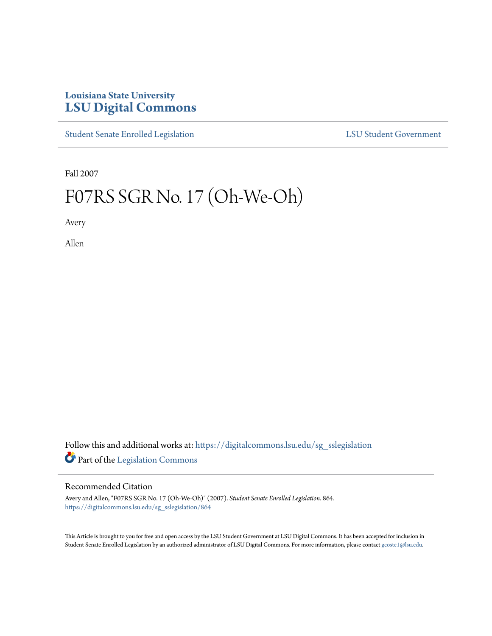## **Louisiana State University [LSU Digital Commons](https://digitalcommons.lsu.edu?utm_source=digitalcommons.lsu.edu%2Fsg_sslegislation%2F864&utm_medium=PDF&utm_campaign=PDFCoverPages)**

[Student Senate Enrolled Legislation](https://digitalcommons.lsu.edu/sg_sslegislation?utm_source=digitalcommons.lsu.edu%2Fsg_sslegislation%2F864&utm_medium=PDF&utm_campaign=PDFCoverPages) [LSU Student Government](https://digitalcommons.lsu.edu/sg?utm_source=digitalcommons.lsu.edu%2Fsg_sslegislation%2F864&utm_medium=PDF&utm_campaign=PDFCoverPages)

Fall 2007

# F07RS SGR No. 17 (Oh-We-Oh)

Avery

Allen

Follow this and additional works at: [https://digitalcommons.lsu.edu/sg\\_sslegislation](https://digitalcommons.lsu.edu/sg_sslegislation?utm_source=digitalcommons.lsu.edu%2Fsg_sslegislation%2F864&utm_medium=PDF&utm_campaign=PDFCoverPages) Part of the [Legislation Commons](http://network.bepress.com/hgg/discipline/859?utm_source=digitalcommons.lsu.edu%2Fsg_sslegislation%2F864&utm_medium=PDF&utm_campaign=PDFCoverPages)

#### Recommended Citation

Avery and Allen, "F07RS SGR No. 17 (Oh-We-Oh)" (2007). *Student Senate Enrolled Legislation*. 864. [https://digitalcommons.lsu.edu/sg\\_sslegislation/864](https://digitalcommons.lsu.edu/sg_sslegislation/864?utm_source=digitalcommons.lsu.edu%2Fsg_sslegislation%2F864&utm_medium=PDF&utm_campaign=PDFCoverPages)

This Article is brought to you for free and open access by the LSU Student Government at LSU Digital Commons. It has been accepted for inclusion in Student Senate Enrolled Legislation by an authorized administrator of LSU Digital Commons. For more information, please contact [gcoste1@lsu.edu.](mailto:gcoste1@lsu.edu)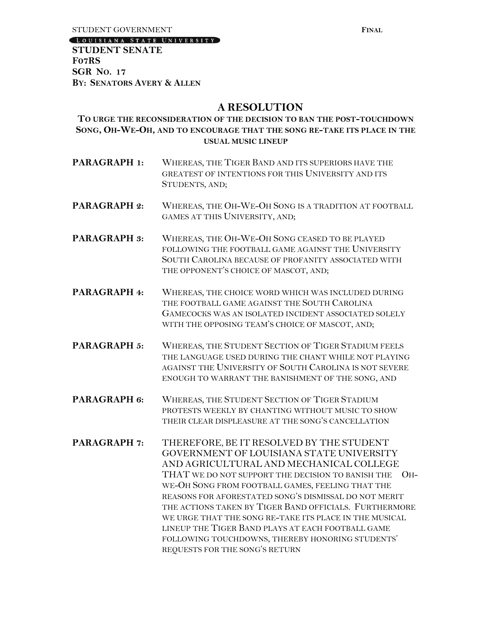[LOUISIANA STATE UNIVERSITY]

**STUDENT SENATE F07RS SGR NO. 17 BY: SENATORS AVERY & ALLEN**

### **A RESOLUTION**

#### **TO URGE THE RECONSIDERATION OF THE DECISION TO BAN THE POST-TOUCHDOWN SONG, OH-WE-OH, AND TO ENCOURAGE THAT THE SONG RE-TAKE ITS PLACE IN THE USUAL MUSIC LINEUP**

- **PARAGRAPH 1:** WHEREAS, THE TIGER BAND AND ITS SUPERIORS HAVE THE GREATEST OF INTENTIONS FOR THIS UNIVERSITY AND ITS STUDENTS, AND;
- **PARAGRAPH 2:** WHEREAS, THE OH-WE-OH SONG IS A TRADITION AT FOOTBALL GAMES AT THIS UNIVERSITY, AND;
- **PARAGRAPH 3:** WHEREAS, THE OH-WE-OH SONG CEASED TO BE PLAYED FOLLOWING THE FOOTBALL GAME AGAINST THE UNIVERSITY SOUTH CAROLINA BECAUSE OF PROFANITY ASSOCIATED WITH THE OPPONENT'S CHOICE OF MASCOT, AND;
- **PARAGRAPH 4:** WHEREAS, THE CHOICE WORD WHICH WAS INCLUDED DURING THE FOOTBALL GAME AGAINST THE SOUTH CAROLINA GAMECOCKS WAS AN ISOLATED INCIDENT ASSOCIATED SOLELY WITH THE OPPOSING TEAM'S CHOICE OF MASCOT, AND;
- **PARAGRAPH 5: WHEREAS, THE STUDENT SECTION OF TIGER STADIUM FEELS** THE LANGUAGE USED DURING THE CHANT WHILE NOT PLAYING AGAINST THE UNIVERSITY OF SOUTH CAROLINA IS NOT SEVERE ENOUGH TO WARRANT THE BANISHMENT OF THE SONG, AND
- **PARAGRAPH 6:** WHEREAS, THE STUDENT SECTION OF TIGER STADIUM PROTESTS WEEKLY BY CHANTING WITHOUT MUSIC TO SHOW THEIR CLEAR DISPLEASURE AT THE SONG'S CANCELLATION
- **PARAGRAPH 7:** THEREFORE, BE IT RESOLVED BY THE STUDENT GOVERNMENT OF LOUISIANA STATE UNIVERSITY AND AGRICULTURAL AND MECHANICAL COLLEGE THAT WE DO NOT SUPPORT THE DECISION TO BANISH THE OH-WE-OH SONG FROM FOOTBALL GAMES, FEELING THAT THE REASONS FOR AFORESTATED SONG'S DISMISSAL DO NOT MERIT THE ACTIONS TAKEN BY TIGER BAND OFFICIALS. FURTHERMORE WE URGE THAT THE SONG RE-TAKE ITS PLACE IN THE MUSICAL LINEUP THE TIGER BAND PLAYS AT EACH FOOTBALL GAME FOLLOWING TOUCHDOWNS, THEREBY HONORING STUDENTS' REQUESTS FOR THE SONG'S RETURN